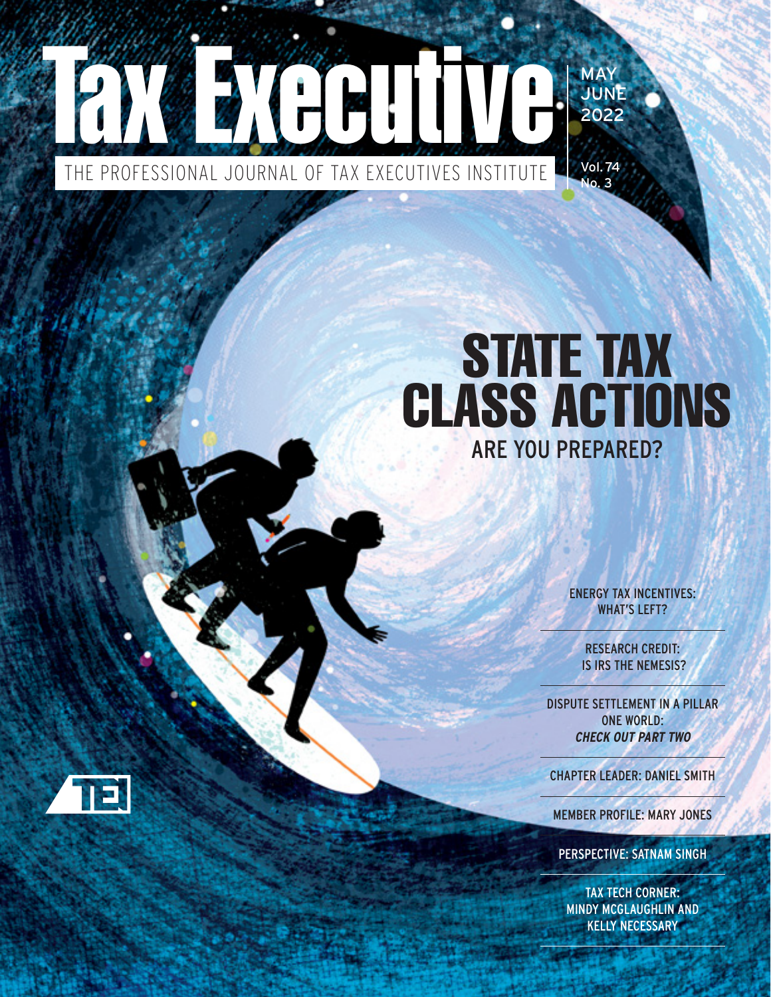### PAY EXPERIENCE THE PROFESSIONAL JOURNAL OF TAX EXECUTIVES INSTITUTE **MAY** Vol. 74

## STATE TAX CLASS ACTIONS ARE YOU PREPARED?

JUNE 2022

 $\overline{\mathbf{3}}$ 

ENERGY TAX INCENTIVES: WHAT'S LEFT?

> RESEARCH CREDIT: IS IRS THE NEMESIS?

DISPUTE SETTLEMENT IN A PILLAR ONE WORLD: **CHECK OUT PART TWO**

CHAPTER LEADER: DANIEL SMITH

MEMBER PROFILE: MARY JONES

PERSPECTIVE: SATNAM SINGH

TAX TECH CORNER: MINDY MCGLAUGHLIN AND KELLY NECESSARY

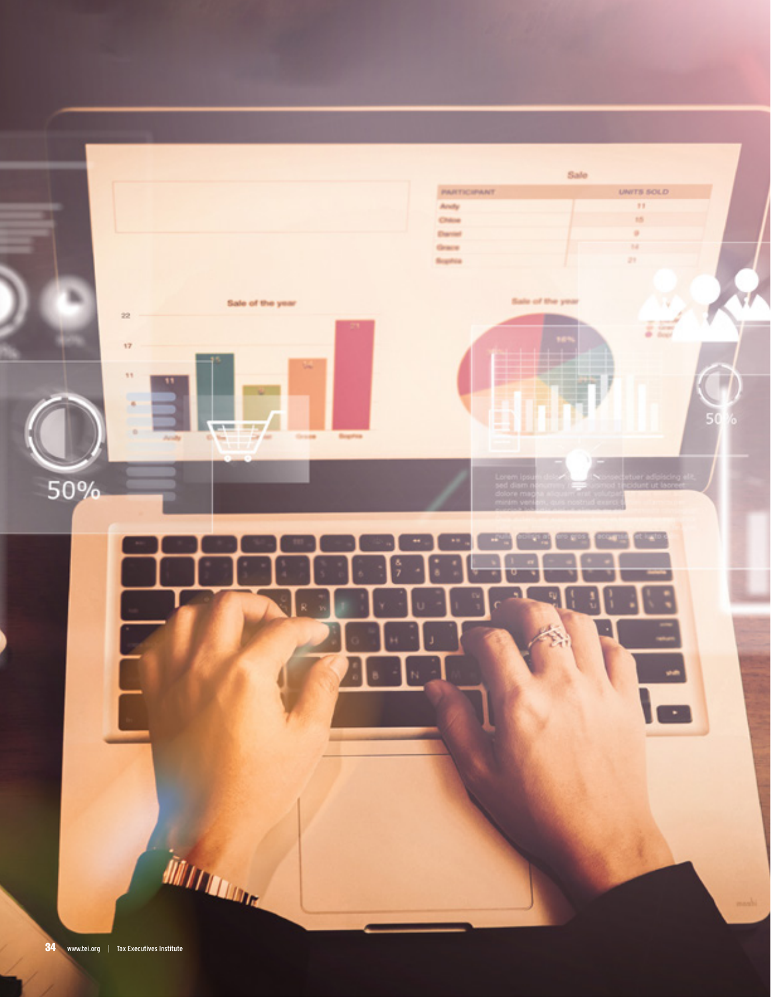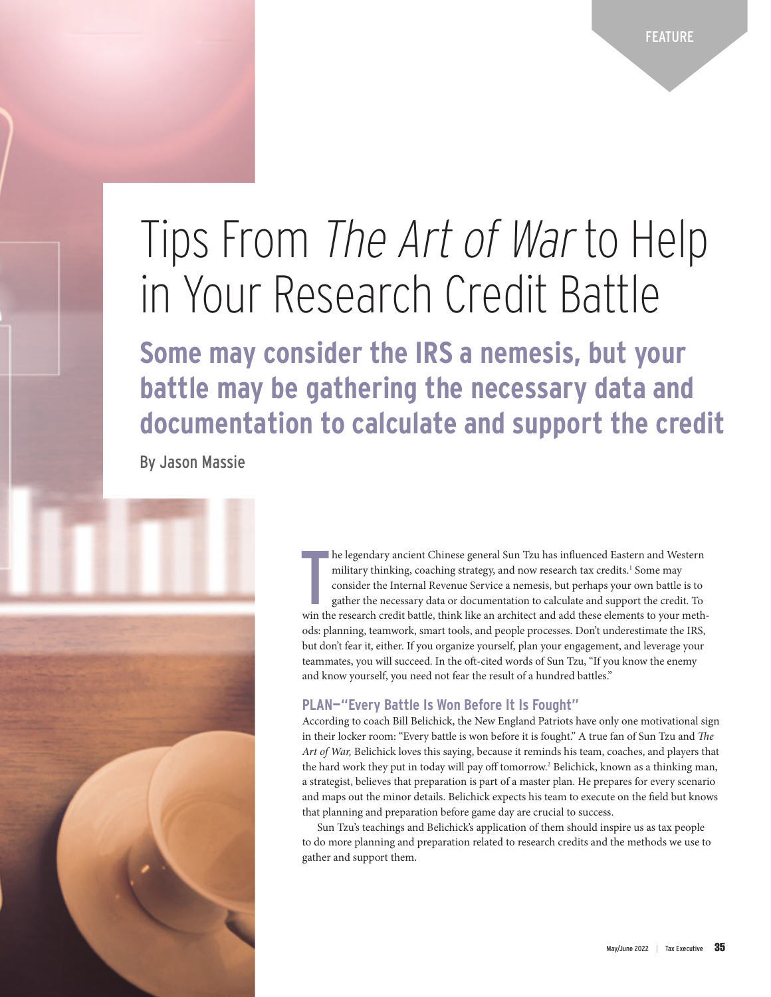# Tips From The Art of War to Help in Your Research Credit Battle

**Some may consider the IRS a nemesis, but your battle may be gathering the necessary data and documentation to calculate and support the credit**

By Jason Massie



he legendary ancient Chinese general Sun Tzu has influenced Eastern and Western military thinking, coaching strategy, and now research tax credits.<sup>1</sup> Some may consider the Internal Revenue Service a nemesis, but perhaps y he legendary ancient Chinese general Sun Tzu has influenced Eastern and Western military thinking, coaching strategy, and now research tax credits.<sup>1</sup> Some may consider the Internal Revenue Service a nemesis, but perhaps your own battle is to gather the necessary data or documentation to calculate and support the credit. To ods: planning, teamwork, smart tools, and people processes. Don't underestimate the IRS, but don't fear it, either. If you organize yourself, plan your engagement, and leverage your teammates, you will succeed. In the oft-cited words of Sun Tzu, "If you know the enemy and know yourself, you need not fear the result of a hundred battles."

#### **PLAN—"Every Battle Is Won Before It Is Fought"**

According to coach Bill Belichick, the New England Patriots have only one motivational sign in their locker room: "Every battle is won before it is fought." A true fan of Sun Tzu and *The Art of War,* Belichick loves this saying, because it reminds his team, coaches, and players that the hard work they put in today will pay off tomorrow.<sup>2</sup> Belichick, known as a thinking man, a strategist, believes that preparation is part of a master plan. He prepares for every scenario and maps out the minor details. Belichick expects his team to execute on the field but knows that planning and preparation before game day are crucial to success.

Sun Tzu's teachings and Belichick's application of them should inspire us as tax people to do more planning and preparation related to research credits and the methods we use to gather and support them.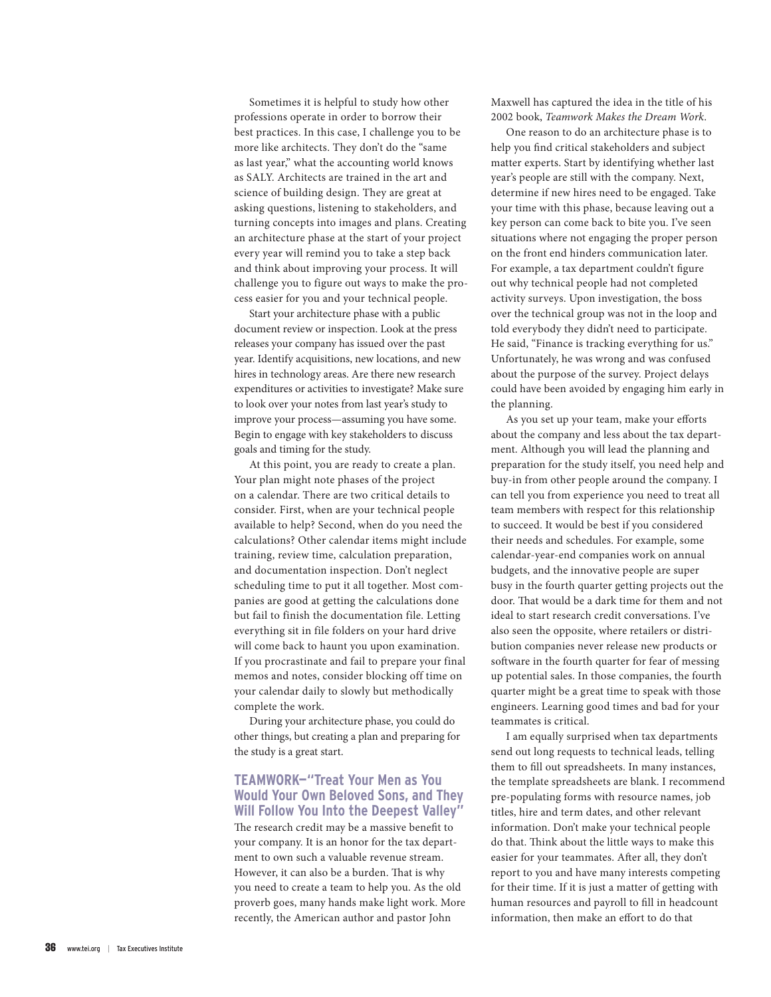Sometimes it is helpful to study how other professions operate in order to borrow their best practices. In this case, I challenge you to be more like architects. They don't do the "same as last year," what the accounting world knows as SALY. Architects are trained in the art and science of building design. They are great at asking questions, listening to stakeholders, and turning concepts into images and plans. Creating an architecture phase at the start of your project every year will remind you to take a step back and think about improving your process. It will challenge you to figure out ways to make the process easier for you and your technical people.

Start your architecture phase with a public document review or inspection. Look at the press releases your company has issued over the past year. Identify acquisitions, new locations, and new hires in technology areas. Are there new research expenditures or activities to investigate? Make sure to look over your notes from last year's study to improve your process—assuming you have some. Begin to engage with key stakeholders to discuss goals and timing for the study.

At this point, you are ready to create a plan. Your plan might note phases of the project on a calendar. There are two critical details to consider. First, when are your technical people available to help? Second, when do you need the calculations? Other calendar items might include training, review time, calculation preparation, and documentation inspection. Don't neglect scheduling time to put it all together. Most companies are good at getting the calculations done but fail to finish the documentation file. Letting everything sit in file folders on your hard drive will come back to haunt you upon examination. If you procrastinate and fail to prepare your final memos and notes, consider blocking off time on your calendar daily to slowly but methodically complete the work.

During your architecture phase, you could do other things, but creating a plan and preparing for the study is a great start.

#### **TEAMWORK—"Treat Your Men as You Would Your Own Beloved Sons, and They Will Follow You Into the Deepest Valley"**

The research credit may be a massive benefit to your company. It is an honor for the tax department to own such a valuable revenue stream. However, it can also be a burden. That is why you need to create a team to help you. As the old proverb goes, many hands make light work. More recently, the American author and pastor John

Maxwell has captured the idea in the title of his 2002 book, *Teamwork Makes the Dream Work*.

One reason to do an architecture phase is to help you find critical stakeholders and subject matter experts. Start by identifying whether last year's people are still with the company. Next, determine if new hires need to be engaged. Take your time with this phase, because leaving out a key person can come back to bite you. I've seen situations where not engaging the proper person on the front end hinders communication later. For example, a tax department couldn't figure out why technical people had not completed activity surveys. Upon investigation, the boss over the technical group was not in the loop and told everybody they didn't need to participate. He said, "Finance is tracking everything for us." Unfortunately, he was wrong and was confused about the purpose of the survey. Project delays could have been avoided by engaging him early in the planning.

As you set up your team, make your efforts about the company and less about the tax department. Although you will lead the planning and preparation for the study itself, you need help and buy-in from other people around the company. I can tell you from experience you need to treat all team members with respect for this relationship to succeed. It would be best if you considered their needs and schedules. For example, some calendar-year-end companies work on annual budgets, and the innovative people are super busy in the fourth quarter getting projects out the door. That would be a dark time for them and not ideal to start research credit conversations. I've also seen the opposite, where retailers or distribution companies never release new products or software in the fourth quarter for fear of messing up potential sales. In those companies, the fourth quarter might be a great time to speak with those engineers. Learning good times and bad for your teammates is critical.

I am equally surprised when tax departments send out long requests to technical leads, telling them to fill out spreadsheets. In many instances, the template spreadsheets are blank. I recommend pre-populating forms with resource names, job titles, hire and term dates, and other relevant information. Don't make your technical people do that. Think about the little ways to make this easier for your teammates. After all, they don't report to you and have many interests competing for their time. If it is just a matter of getting with human resources and payroll to fill in headcount information, then make an effort to do that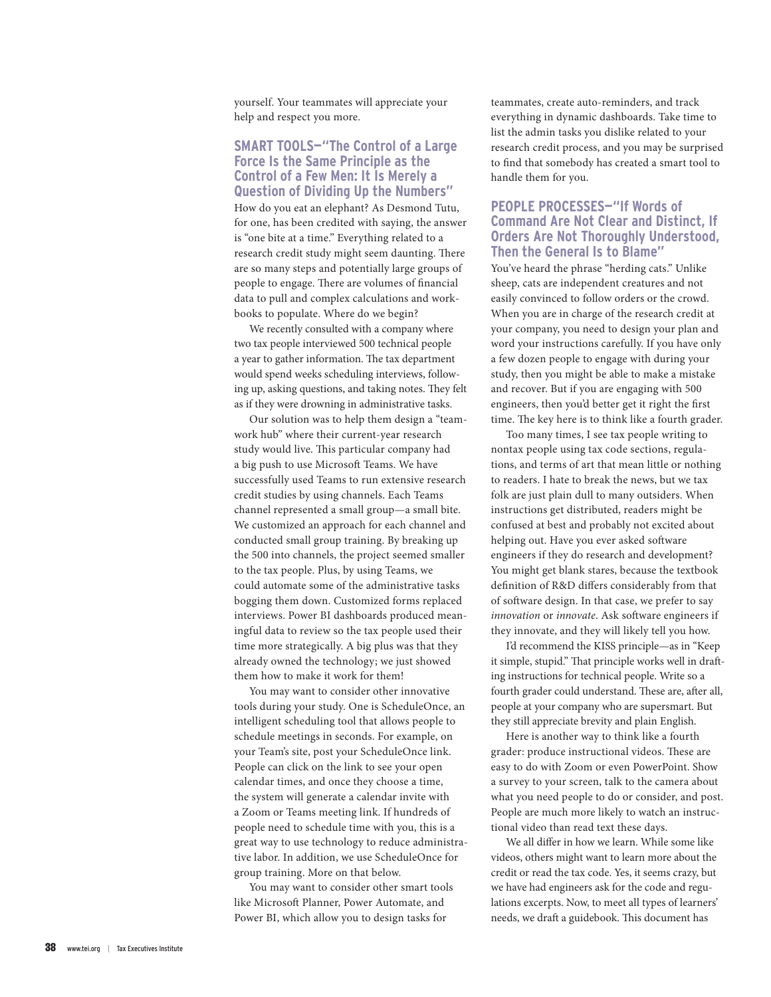yourself. Your teammates will appreciate your help and respect you more.

#### **SMART TOOLS—"The Control of a Large Force Is the Same Principle as the Control of a Few Men: It Is Merely a Question of Dividing Up the Numbers"**

How do you eat an elephant? As Desmond Tutu, for one, has been credited with saying, the answer is "one bite at a time." Everything related to a research credit study might seem daunting. There are so many steps and potentially large groups of people to engage. There are volumes of financial data to pull and complex calculations and workbooks to populate. Where do we begin?

We recently consulted with a company where two tax people interviewed 500 technical people a year to gather information. The tax department would spend weeks scheduling interviews, following up, asking questions, and taking notes. They felt as if they were drowning in administrative tasks.

Our solution was to help them design a "teamwork hub" where their current-year research study would live. This particular company had a big push to use Microsoft Teams. We have successfully used Teams to run extensive research credit studies by using channels. Each Teams channel represented a small group—a small bite. We customized an approach for each channel and conducted small group training. By breaking up the 500 into channels, the project seemed smaller to the tax people. Plus, by using Teams, we could automate some of the administrative tasks bogging them down. Customized forms replaced interviews. Power BI dashboards produced meaningful data to review so the tax people used their time more strategically. A big plus was that they already owned the technology; we just showed them how to make it work for them!

You may want to consider other innovative tools during your study. One is ScheduleOnce, an intelligent scheduling tool that allows people to schedule meetings in seconds. For example, on your Team's site, post your ScheduleOnce link. People can click on the link to see your open calendar times, and once they choose a time, the system will generate a calendar invite with a Zoom or Teams meeting link. If hundreds of people need to schedule time with you, this is a great way to use technology to reduce administrative labor. In addition, we use ScheduleOnce for group training. More on that below.

You may want to consider other smart tools like Microsoft Planner, Power Automate, and Power BI, which allow you to design tasks for

teammates, create auto-reminders, and track everything in dynamic dashboards. Take time to list the admin tasks you dislike related to your research credit process, and you may be surprised to find that somebody has created a smart tool to handle them for you.

#### **PEOPLE PROCESSES—"If Words of Command Are Not Clear and Distinct, If Orders Are Not Thoroughly Understood, Then the General Is to Blame"**

You've heard the phrase "herding cats." Unlike sheep, cats are independent creatures and not easily convinced to follow orders or the crowd. When you are in charge of the research credit at your company, you need to design your plan and word your instructions carefully. If you have only a few dozen people to engage with during your study, then you might be able to make a mistake and recover. But if you are engaging with 500 engineers, then you'd better get it right the first time. The key here is to think like a fourth grader.

Too many times, I see tax people writing to nontax people using tax code sections, regulations, and terms of art that mean little or nothing to readers. I hate to break the news, but we tax folk are just plain dull to many outsiders. When instructions get distributed, readers might be confused at best and probably not excited about helping out. Have you ever asked software engineers if they do research and development? You might get blank stares, because the textbook definition of R&D differs considerably from that of software design. In that case, we prefer to say *innovation* or *innovate*. Ask software engineers if they innovate, and they will likely tell you how.

I'd recommend the KISS principle—as in "Keep it simple, stupid." That principle works well in drafting instructions for technical people. Write so a fourth grader could understand. These are, after all, people at your company who are supersmart. But they still appreciate brevity and plain English.

Here is another way to think like a fourth grader: produce instructional videos. These are easy to do with Zoom or even PowerPoint. Show a survey to your screen, talk to the camera about what you need people to do or consider, and post. People are much more likely to watch an instructional video than read text these days.

We all differ in how we learn. While some like videos, others might want to learn more about the credit or read the tax code. Yes, it seems crazy, but we have had engineers ask for the code and regulations excerpts. Now, to meet all types of learners' needs, we draft a guidebook. This document has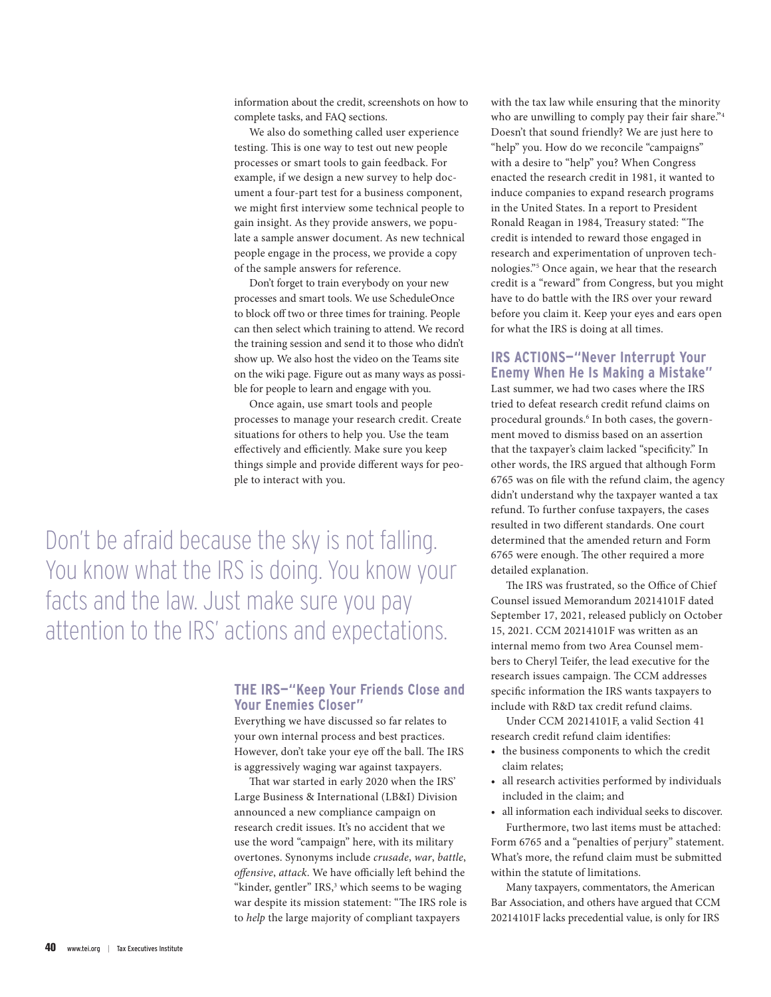information about the credit, screenshots on how to complete tasks, and FAQ sections.

We also do something called user experience testing. This is one way to test out new people processes or smart tools to gain feedback. For example, if we design a new survey to help document a four-part test for a business component, we might first interview some technical people to gain insight. As they provide answers, we populate a sample answer document. As new technical people engage in the process, we provide a copy of the sample answers for reference.

Don't forget to train everybody on your new processes and smart tools. We use ScheduleOnce to block off two or three times for training. People can then select which training to attend. We record the training session and send it to those who didn't show up. We also host the video on the Teams site on the wiki page. Figure out as many ways as possible for people to learn and engage with you.

Once again, use smart tools and people processes to manage your research credit. Create situations for others to help you. Use the team effectively and efficiently. Make sure you keep things simple and provide different ways for people to interact with you.

Don't be afraid because the sky is not falling. You know what the IRS is doing. You know your facts and the law. Just make sure you pay attention to the IRS' actions and expectations.

#### **THE IRS—"Keep Your Friends Close and Your Enemies Closer"**

Everything we have discussed so far relates to your own internal process and best practices. However, don't take your eye off the ball. The IRS is aggressively waging war against taxpayers.

That war started in early 2020 when the IRS' Large Business & International (LB&I) Division announced a new compliance campaign on research credit issues. It's no accident that we use the word "campaign" here, with its military overtones. Synonyms include *crusade*, *war*, *battle*, *offensive*, *attack*. We have officially left behind the "kinder, gentler" IRS,<sup>3</sup> which seems to be waging war despite its mission statement: "The IRS role is to *help* the large majority of compliant taxpayers

with the tax law while ensuring that the minority who are unwilling to comply pay their fair share."<sup>4</sup> Doesn't that sound friendly? We are just here to "help" you. How do we reconcile "campaigns" with a desire to "help" you? When Congress enacted the research credit in 1981, it wanted to induce companies to expand research programs in the United States. In a report to President Ronald Reagan in 1984, Treasury stated: "The credit is intended to reward those engaged in research and experimentation of unproven technologies."5 Once again, we hear that the research credit is a "reward" from Congress, but you might have to do battle with the IRS over your reward before you claim it. Keep your eyes and ears open for what the IRS is doing at all times.

#### **IRS ACTIONS—"Never Interrupt Your Enemy When He Is Making a Mistake"**

Last summer, we had two cases where the IRS tried to defeat research credit refund claims on procedural grounds.<sup>6</sup> In both cases, the government moved to dismiss based on an assertion that the taxpayer's claim lacked "specificity." In other words, the IRS argued that although Form 6765 was on file with the refund claim, the agency didn't understand why the taxpayer wanted a tax refund. To further confuse taxpayers, the cases resulted in two different standards. One court determined that the amended return and Form 6765 were enough. The other required a more detailed explanation.

The IRS was frustrated, so the Office of Chief Counsel issued Memorandum 20214101F dated September 17, 2021, released publicly on October 15, 2021. CCM 20214101F was written as an internal memo from two Area Counsel members to Cheryl Teifer, the lead executive for the research issues campaign. The CCM addresses specific information the IRS wants taxpayers to include with R&D tax credit refund claims.

Under CCM 20214101F, a valid Section 41 research credit refund claim identifies:

- the business components to which the credit claim relates;
- all research activities performed by individuals included in the claim; and
- all information each individual seeks to discover. Furthermore, two last items must be attached: Form 6765 and a "penalties of perjury" statement. What's more, the refund claim must be submitted within the statute of limitations.

Many taxpayers, commentators, the American Bar Association, and others have argued that CCM 20214101F lacks precedential value, is only for IRS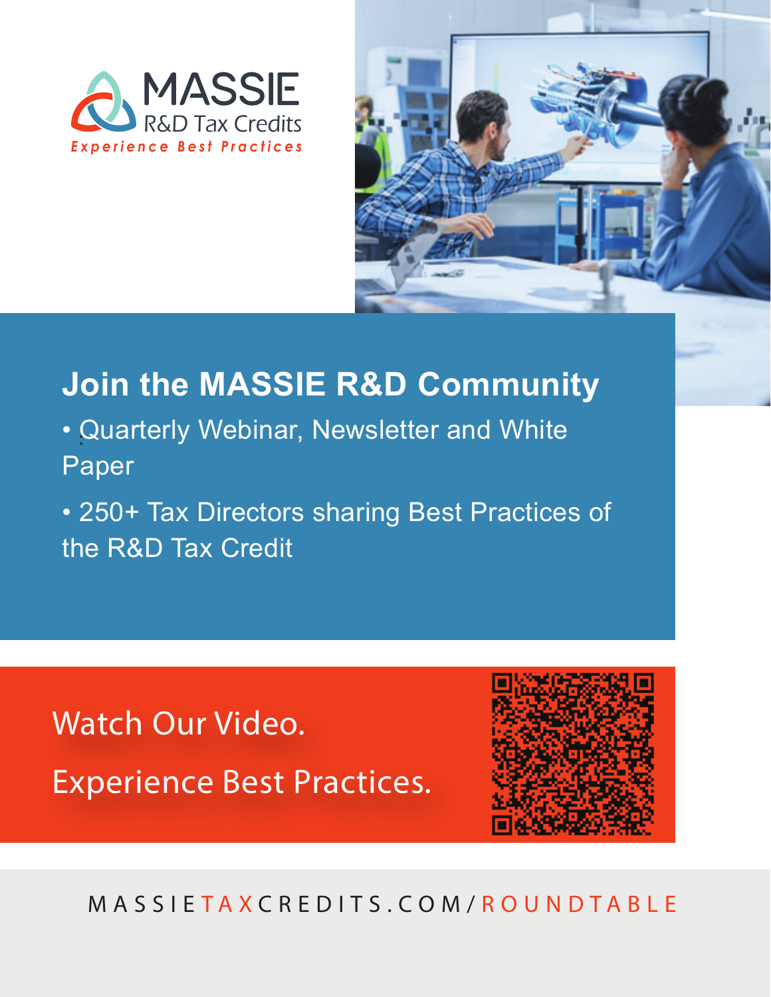



## **Join the MASSIE R&D Community**

• Quarterly Webinar, Newsletter and White :Paper

• 250+ Tax Directors sharing Best Practices of the R&D Tax Credit

Watch Our Video. Experience Best Practices.



**MASSIE TAX CREDITS.COM/ ROUNDTABLE**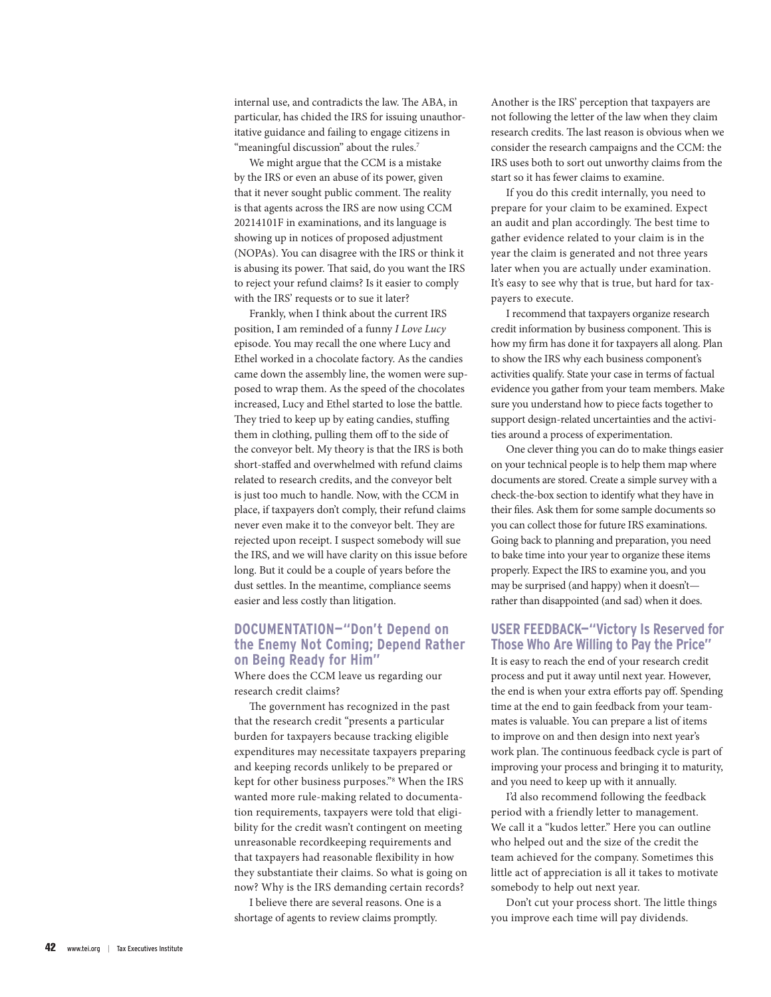internal use, and contradicts the law. The ABA, in particular, has chided the IRS for issuing unauthoritative guidance and failing to engage citizens in "meaningful discussion" about the rules.<sup>7</sup>

We might argue that the CCM is a mistake by the IRS or even an abuse of its power, given that it never sought public comment. The reality is that agents across the IRS are now using CCM 20214101F in examinations, and its language is showing up in notices of proposed adjustment (NOPAs). You can disagree with the IRS or think it is abusing its power. That said, do you want the IRS to reject your refund claims? Is it easier to comply with the IRS' requests or to sue it later?

Frankly, when I think about the current IRS position, I am reminded of a funny *I Love Lucy* episode. You may recall the one where Lucy and Ethel worked in a chocolate factory. As the candies came down the assembly line, the women were supposed to wrap them. As the speed of the chocolates increased, Lucy and Ethel started to lose the battle. They tried to keep up by eating candies, stuffing them in clothing, pulling them off to the side of the conveyor belt. My theory is that the IRS is both short-staffed and overwhelmed with refund claims related to research credits, and the conveyor belt is just too much to handle. Now, with the CCM in place, if taxpayers don't comply, their refund claims never even make it to the conveyor belt. They are rejected upon receipt. I suspect somebody will sue the IRS, and we will have clarity on this issue before long. But it could be a couple of years before the dust settles. In the meantime, compliance seems easier and less costly than litigation.

#### **DOCUMENTATION—"Don't Depend on the Enemy Not Coming; Depend Rather on Being Ready for Him"**

Where does the CCM leave us regarding our research credit claims?

The government has recognized in the past that the research credit "presents a particular burden for taxpayers because tracking eligible expenditures may necessitate taxpayers preparing and keeping records unlikely to be prepared or kept for other business purposes."8 When the IRS wanted more rule-making related to documentation requirements, taxpayers were told that eligibility for the credit wasn't contingent on meeting unreasonable recordkeeping requirements and that taxpayers had reasonable flexibility in how they substantiate their claims. So what is going on now? Why is the IRS demanding certain records?

I believe there are several reasons. One is a shortage of agents to review claims promptly.

Another is the IRS' perception that taxpayers are not following the letter of the law when they claim research credits. The last reason is obvious when we consider the research campaigns and the CCM: the IRS uses both to sort out unworthy claims from the start so it has fewer claims to examine.

If you do this credit internally, you need to prepare for your claim to be examined. Expect an audit and plan accordingly. The best time to gather evidence related to your claim is in the year the claim is generated and not three years later when you are actually under examination. It's easy to see why that is true, but hard for taxpayers to execute.

I recommend that taxpayers organize research credit information by business component. This is how my firm has done it for taxpayers all along. Plan to show the IRS why each business component's activities qualify. State your case in terms of factual evidence you gather from your team members. Make sure you understand how to piece facts together to support design-related uncertainties and the activities around a process of experimentation.

One clever thing you can do to make things easier on your technical people is to help them map where documents are stored. Create a simple survey with a check-the-box section to identify what they have in their files. Ask them for some sample documents so you can collect those for future IRS examinations. Going back to planning and preparation, you need to bake time into your year to organize these items properly. Expect the IRS to examine you, and you may be surprised (and happy) when it doesn't rather than disappointed (and sad) when it does.

#### **USER FEEDBACK—"Victory Is Reserved for Those Who Are Willing to Pay the Price"**

It is easy to reach the end of your research credit process and put it away until next year. However, the end is when your extra efforts pay off. Spending time at the end to gain feedback from your teammates is valuable. You can prepare a list of items to improve on and then design into next year's work plan. The continuous feedback cycle is part of improving your process and bringing it to maturity, and you need to keep up with it annually.

I'd also recommend following the feedback period with a friendly letter to management. We call it a "kudos letter." Here you can outline who helped out and the size of the credit the team achieved for the company. Sometimes this little act of appreciation is all it takes to motivate somebody to help out next year.

Don't cut your process short. The little things you improve each time will pay dividends.